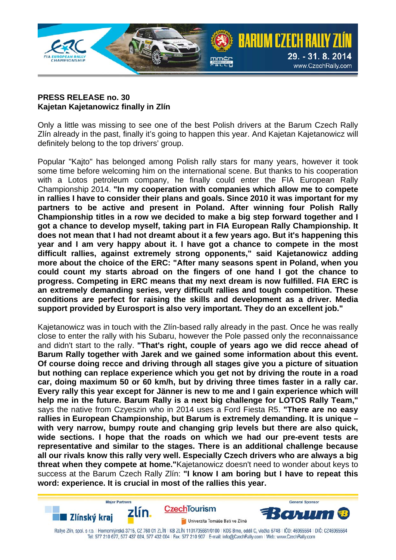

## **PRESS RELEASE no. 30 Kajetan Kajetanowicz finally in Zlín**

Only a little was missing to see one of the best Polish drivers at the Barum Czech Rally Zlín already in the past, finally it's going to happen this year. And Kajetan Kajetanowicz will definitely belong to the top drivers' group.

Popular "Kajto" has belonged among Polish rally stars for many years, however it took some time before welcoming him on the international scene. But thanks to his cooperation with a Lotos petroleum company, he finally could enter the FIA European Rally Championship 2014. **"In my cooperation with companies which allow me to compete in rallies I have to consider their plans and goals. Since 2010 it was important for my partners to be active and present in Poland. After winning four Polish Rally Championship titles in a row we decided to make a big step forward together and I got a chance to develop myself, taking part in FIA European Rally Championship. It does not mean that I had not dreamt about it a few years ago. But it's happening this year and I am very happy about it. I have got a chance to compete in the most difficult rallies, against extremely strong opponents," said Kajetanowicz adding more about the choice of the ERC: "After many seasons spent in Poland, when you could count my starts abroad on the fingers of one hand I got the chance to progress. Competing in ERC means that my next dream is now fulfilled. FIA ERC is an extremely demanding series, very difficult rallies and tough competition. These conditions are perfect for raising the skills and development as a driver. Media support provided by Eurosport is also very important. They do an excellent job."**

Kajetanowicz was in touch with the Zlín-based rally already in the past. Once he was really close to enter the rally with his Subaru, however the Pole passed only the reconnaissance and didn't start to the rally. **"That's right, couple of years ago we did recce ahead of Barum Rally together with Jarek and we gained some information about this event. Of course doing recce and driving through all stages give you a picture of situation but nothing can replace experience which you get not by driving the route in a road car, doing maximum 50 or 60 km/h, but by driving three times faster in a rally car. Every rally this year except for Jänner is new to me and I gain experience which will help me in the future. Barum Rally is a next big challenge for LOTOS Rally Team,"** says the native from Czyeszin who in 2014 uses a Ford Fiesta R5. **"There are no easy rallies in European Championship, but Barum is extremely demanding. It is unique – with very narrow, bumpy route and changing grip levels but there are also quick, wide sections. I hope that the roads on which we had our pre-event tests are representative and similar to the stages. There is an additional challenge because all our rivals know this rally very well. Especially Czech drivers who are always a big threat when they compete at home."**Kajetanowicz doesn't need to wonder about keys to success at the Barum Czech Rally Zlín: **"I know I am boring but I have to repeat this word: experience. It is crucial in most of the rallies this year.**